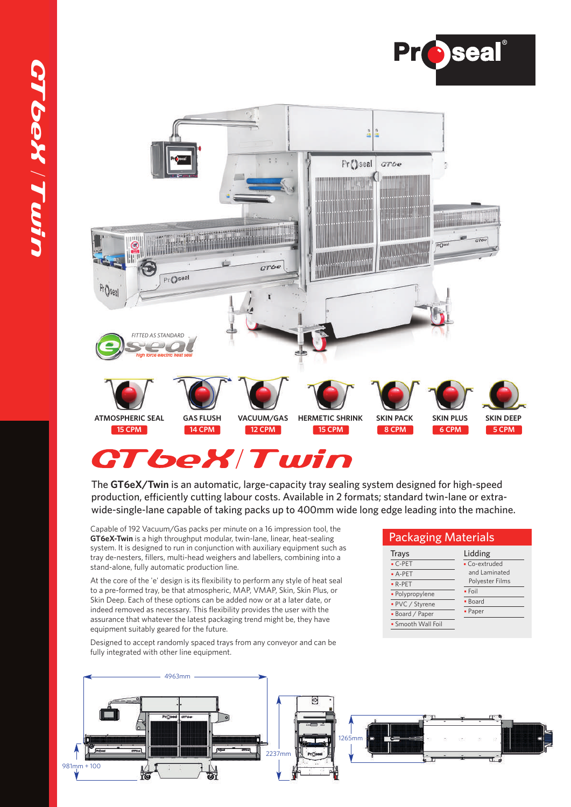



# **CTbeXTwin**

The **GT6eX/Twin** is an automatic, large-capacity tray sealing system designed for high-speed production, efficiently cutting labour costs. Available in 2 formats; standard twin-lane or extrawide-single-lane capable of taking packs up to 400mm wide long edge leading into the machine.

Capable of 192 Vacuum/Gas packs per minute on a 16 impression tool, the **GT6eX-Twin** is a high throughput modular, twin-lane, linear, heat-sealing system. It is designed to run in conjunction with auxiliary equipment such as tray de-nesters, fillers, multi-head weighers and labellers, combining into a stand-alone, fully automatic production line.

At the core of the 'e' design is its flexibility to perform any style of heat seal to a pre-formed tray, be that atmospheric, MAP, VMAP, Skin, Skin Plus, or Skin Deep. Each of these options can be added now or at a later date, or indeed removed as necessary. This flexibility provides the user with the assurance that whatever the latest packaging trend might be, they have equipment suitably geared for the future.

Designed to accept randomly spaced trays from any conveyor and can be fully integrated with other line equipment.



#### Packaging Materials

| Trays              | Lidding         |
|--------------------|-----------------|
| $\cdot$ C-PET      | • Co-extruded   |
| $-A-PET$           | and Laminated   |
| $\bullet$ R-PET    | Polyester Films |
| · Polypropylene    | $\bullet$ Foil  |
| • PVC / Styrene    | • Board         |
| • Board / Paper    | • Paper         |
| • Smooth Wall Foil |                 |
|                    |                 |